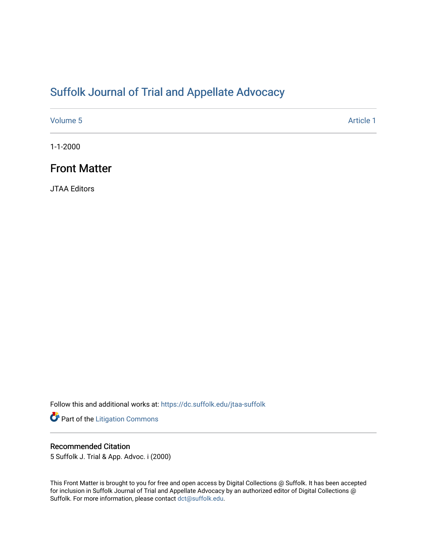## [Suffolk Journal of Trial and Appellate Advocacy](https://dc.suffolk.edu/jtaa-suffolk)

[Volume 5](https://dc.suffolk.edu/jtaa-suffolk/vol5) Article 1

1-1-2000

### Front Matter

JTAA Editors

Follow this and additional works at: [https://dc.suffolk.edu/jtaa-suffolk](https://dc.suffolk.edu/jtaa-suffolk?utm_source=dc.suffolk.edu%2Fjtaa-suffolk%2Fvol5%2Fiss1%2F1&utm_medium=PDF&utm_campaign=PDFCoverPages) 

Part of the [Litigation Commons](http://network.bepress.com/hgg/discipline/910?utm_source=dc.suffolk.edu%2Fjtaa-suffolk%2Fvol5%2Fiss1%2F1&utm_medium=PDF&utm_campaign=PDFCoverPages)

### Recommended Citation

5 Suffolk J. Trial & App. Advoc. i (2000)

This Front Matter is brought to you for free and open access by Digital Collections @ Suffolk. It has been accepted for inclusion in Suffolk Journal of Trial and Appellate Advocacy by an authorized editor of Digital Collections @ Suffolk. For more information, please contact [dct@suffolk.edu.](mailto:dct@suffolk.edu)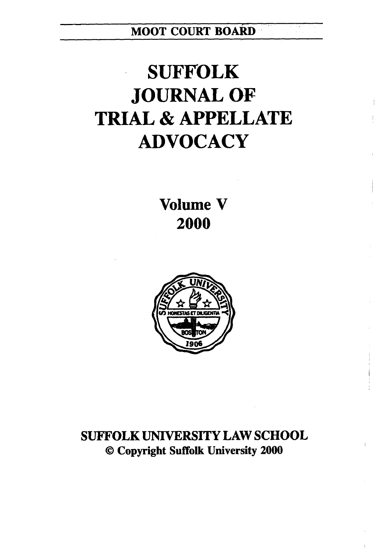MOOT **COURT** BOARD

# **SUFFOLK JOURNAL OF TRIAL & APPELLATE ADVOCACY**

**Volume V 2000**



**SUFFOLK** UNIVERSITY LAW **SCHOOL** © Copyright Suffolk University 2000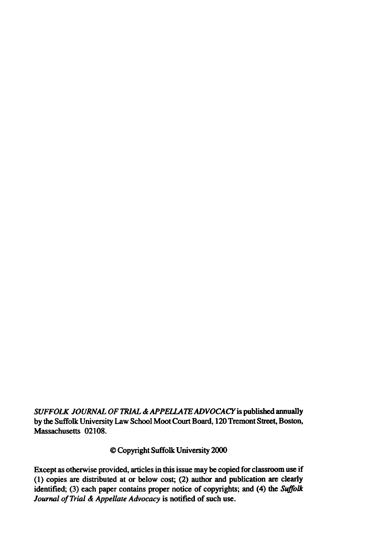*SUFFOLK JOURNAL OF TRIAL& APPELLATE ADVOCACYis* published annually by the Suffolk University Law School Moot Court Board, 120 Tremont Street, Boston, Massachusetts 02108.

© Copyright Suffolk University 2000

Except as otherwise provided, articles in this issue may be copied for classroom use if **(1)** copies are distributed at or below cost; (2) author and publication are clearly identified; **(3)** each paper contains proper notice of copyrights; and (4) the *Suffolk Journal of Trial & Appellate Advocacy* is notified of such use.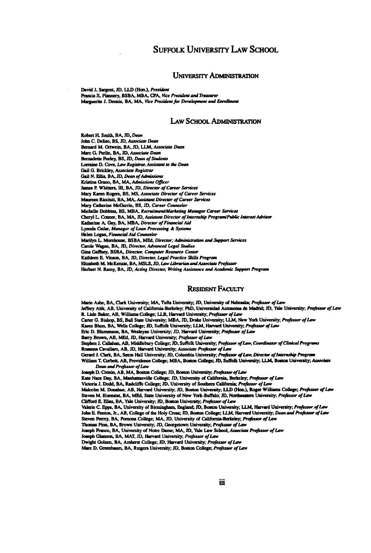#### **UNIVERSITY ADMINISTRATION**

David J. Sargent, JD, LLD (Hon.), President Francis X. Flannery, BSBA, MBA, CPA, Vice President and Treasurer Marguerite J. Dennis, BA, MA, Vice President for Development and Enrollment

#### **LAW SCHOOL ADMINISTRATION**

Robert H. Smith, BA, JD, Dean John C. Deliso, BS, JD, Associate Dean Bernard M. Ortwein, BA, JD, LLM, Associate Dean Marc G. Perlin, BA, JD, Associate Dean Bernadette Feeley, BS, JD, Dean of Students Lorraine D. Cove, Law Registrar, Assistant to the Dean Gail G. Brickley, Associate Registrar Gail N. Ellis, BA, JD, Dean of Admissions Kristina Grano, BA, MA, Admissions Officer James P. Whitters, III, BA, JD, Director of Career Services Mary Karen Rogers, BS, MS, Associate Director of Career Services Maureen Ricciuti, BA, MA, Assistant Director of Career Services Mary Catherine McGurrin, BS, JD, Career Counselor Michelle Dobbins, BS, MBA, Recruitment/Marketing Manager Career Services Cheryl L. Conner, BA, MA, JD, Assistant Director of Internship Program/Public Interest Advisor Katherine A. Gay, BA, MBA, Director of Financial Aid Lynnda Cedar, Manager of Loan Processing & Systems Helen Logan, Financial Aid Counselor Marilyn L. Morehouse, BSBA, MEd, Director; Administration and Support Services Carole Wagan, BA, JD, Director, Advanced Legal Studies Gina Gaffney, BSBA, Director, Computer Resource Center Kathleen E. Vinson, BA, JD, Director, Legal Practice Skills Program Elizabeth M. McKenzie, BA, MSLS, JD, Law Librarian and Associate Professor Herbert N. Ramy, BA, JD, Acting Director, Writing Assistance and Academic Support Program

#### **RESIDENT FACULTY**

Marie Ashe, BA, Clark University; MA, Tufts University; JD, University of Nebraska; Professor of Law Jeffery Atik, AB, University of California-Berkeley; PhD, Universidad Autonoms de Madrid; JD, Yale University; Professor of Law R. Lisle Baker, AB, Williams College; LLB, Harvard University; Professor of Law Carter G. Bishop, BS, Ball State University; MBA, JD, Drake University; LLM, New York University; Professor of Law Karen Blum, BA, Wells College; JD, Suffolk University; LLM, Harvard University; Professor of Law Eric D. Blumenson, BA, Wesleyan University; JD, Harvard University; Professor of Law Barry Brown, AB, MEd, JD, Harvard University; Professor of Law Stephen J. Callahan, AB, Middlebury College; JD, Suffolk University; Professor of Law, Coordinator of Clinical Programs<br>Rosanna Cavallaro, AB, JD, Harvard University; Associate Professor of Law Gerard J. Clark, BA, Seton Hall University; JD, Columbia University; Professor of Law, Director of Internship Program William T. Corbett, AB, Providence College; MBA, Boston College; JD, Suffolk University; LLM, Boston University; Associate Dean and Professor of Law Joseph D. Cronin, AB, MA, Boston College; JD, Boston University; Professor of Law Kate Nace Day, BA, Manhattanville College; JD, University of California, Berkeley; Professor of Law Victoria J. Dodd, BA, Radcliffe College; JD, University of Southern California; Professor of Law Malcolm M. Donahue, AB, Harvard University, JD, Boston University, LLD (Hon.), Roger Williams College; Professor of Law Steven M. Eisenstat, BA, MEd, State University of New York-Buffalo; JD, Northeastern University; Professor of Law Clifford E. Elias, BA, Yale University; JD, Boston University; Professor of Law Valerie C. Epps, BA, University of Birmingham, England; JD, Boston University; LLM, Harvard University; Professor of Law John E. Fenton, Jr., AB, College of the Holy Cross; JD, Boston College; LLM, Harvard University; Dean and Professor of Law Steven Ferrey, BA, Pomona College; MA, JD, University of California-Berkeley; Professor of Law Thomas Finn, BA, Brown University; JD, Georgetown University; Professor of Law Joseph Franco, BA, University of Notre Dame; MA, JD, Yale Law School, Associate Professor of Law Joseph Glannon, BA, MAT, JD, Harvard University; Professor of Law Dwight Golann, BA, Amherst College; JD, Harvard University; Professor of Law Marc D. Greenbaum, BA, Rutgers University; JD, Boston College; Professor of Law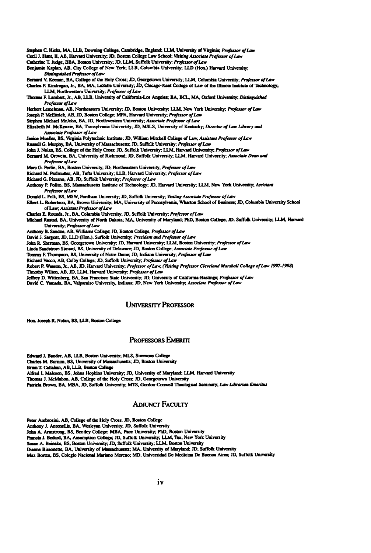*Stephen* C. **Hicks.** MA. .118. Downing Collcgc; Cambridge, **England,** *U.M* University **of** Virsinis; *P-fes OfLaw* **Cecil J. Hum. I,** *AB.* Harvad University, **JD,** Boston College Law School; *Viting Associate Profasor* ofLaw

**Cateri T. Judge, BBA,** Boston University, **ID, LLM.** Suffolk University: *Professor of Law*

Benjamin Kaplan, AB, City College of New York; LLB, Columbia University; LLD (Hon.) Harvard University; *Distingais hed Professor ofLaw*

Beard V. Keenan, **BA, College** of the Holy Cross; **JD,** Georgetown University; **LLM,** Columbia University; *Professor ofLaw* **Charles** P. Kindregan **k.** BA. MA. LaSalle University **JD.** Chkago-Kent College of Law of the Illinois **Institute** of Tocaoogy; **UJ.I,** Northwestern University; *Professor of Law*

**Thomas F.** Lambet. Jr., *AB,* **LLB,** University of Califoinia-Los **Angeles;** BA. **BCL, MA,** Oxford Universiti, *Dirtisgsished Proifessor of Law*

Hesbert Leeelman. AN. Northeastern University; **JD.** Boston University; **LLM.** New **York** University; *Pnfessor of Law* **Joseph** P. McEttrick, AB. **JD.** Boston College; **MPA. Harvard** Univesity, *Professor ofLaw*

Stephen Michael MciJohn. BA. **ID, Northwestern** University; *Associate Professor ofLaw*

Elizabeth **M.** McKenzie. **BA,** Transylvania University; **JD, MSLS,** University of Kentuck, *Director ofLaw Library and Associate Pofesso ofLaw*

Jice Mueller, **BS,** Virginia Polyechnic **Institute; JD,** William Mitchell **College** of Law, *Ass seat Professor of Law*

Russell **G.** Murphy, **BA,** University of Massachusetts; **JD,** Suffolk University; *Professor ofLaw*

John *J.* Nolan, *BS.* College of **the** Holy Cros- **JD,** Suffolk University, **LLM,** Hamd University; *Professor ofLaw*

Bernard M. Ortwein, BA, University of Richmond; JD, Suffolk University; LLM, Harvard University; Associate Dean and *Professor ofLaw*

**Marc .** Perlin. BA, Boston University; *ID.* Northeastern University; *Professr ofLaw*

Richard M. Perlmutter. AN. Tufts Univcrsity, LLB. Harvard University; *Professor of Law*

Richard **U.** Pizzano, AN, **JD,** Suffolk University; *Professor of Law*

Anthony P. Polito, **BS.** Massachusetts Institute of Tchnmology; **JD,** Harvard University; LLM, New York University; *Assistant* **Professor** of Law

Donald L **Polk. BS,** MSW, Fordham University; **JD,** Suffolk University; itsiftg *Associate Profesor of Law*

**Elbert** L Robertson, **BA,** Brown University; MA. University of Pesnsylvania, Wharton School of Businesi- **JD,** Colunbia University School of *Law; Assistant Professor of law*

Charles **E.** Rounds. Jr., BA. Columbia University;, *JD,* Suffolk University, *Professor of Law*

**Michael** Rusted, BA. University of North Dakota; MA. University of Mryland; Ph). **Boston** College; *3D.* Suffolk University; LI.M. Harvard University; Professor of Law

Anthony *B. Sandoe. AB,* Williams College; *3D, Boston College, Professor of Law*

David J. Sargent, JD, LLD (Hon.), Suffolk University; *President and Professor of Law* 

John I. **Shermm BS,** Georgetown University; **ID.** Harvard University; **LLM,** Boston University; *Professor ofLaw*

*Inda* **Sandstroin Simaed, BS,** University of Delaware; **JD,** Boston College; *Associate Professor of Law*

Tommy F. Thompson, BS, University of Notre Dame; JD, Indiana University; Professor of Law

Richard Vacco. **AB,** Colby College; **3D.** Suffolk University; *Pmfessor of Law*

Robert **P.** Wasson, Jr., **AB. JD.** Harvard University; *Professor of Law. (V'bting Professor Cleveland* **Marshali** *College of Law 1997-1998)*

**Timothy** Wilon. **AB JD, LLM,** Harvard University;, *Professor ofLaw*

**Jeiffey D.** Winenberg, BA. San **Prsncisco** State University; **JD.** University of California-Hastings; *Professor of Law*

David **C.** Yamads, **BA,** Valparaiso University, Indiam; **ID,** New York University, *Associate Professor of Law*

#### UNIVERSITY PROFESSOR

Hon. Joseph R. Nolan, BS, LLB, Boston College

#### PROFESSORS EMERITI

Edward **J.** Bander. AN., **11.** Boston University, **MLS.** Sinnmons College

**tharls** M. Bunin, **BS,** University of Massachusetts; **JD.** Boston University

Brim **T.** Callahan. AB. **LLB.** Boston **College**

Alfred I. Maleson, BS, Johns Hopkins University; JD, University of Maryland; LLM, Harvard University

Thoms **J.** McMahon, **AB.** College of **the** Holy Cros **JD.** Georgetown University

Patricia Brown. BA. MBA. JD. Suffolk University: MTS, Gordon-Conwell Theological Seminary: Law Librarian Emeritus

#### **ADJUNCT FACULTY**

Peter Ambrosini, AB, College of the Holy Cross; JD, Boston College Anthony **J.** Antonellis. **BA,** Wesleyan University; *ID.* Suffolk University John A. Armstrong, BS. Bentley College; MBA. Pace University; PhD, Boston University

Ftancis **J.** *Bedard,* BA. Assumption College; **JD.** Suffolk University; **LI.M, Tax,** New York University

Susm **A. Beineke, BS.** Boston University. **JD,** Suffolk University; **I.LM** Boston University

**Dianne** Bissonete **BA.** University of Massachusetts; MA, University of Maryland, **JD,** Suffolk **University**

Max Batein, **BS,** Colegio Nacional Mariano Moreno; **MD,** Universidad **De** Medicia **De** Buenos **Aires; JD. Suffolk** University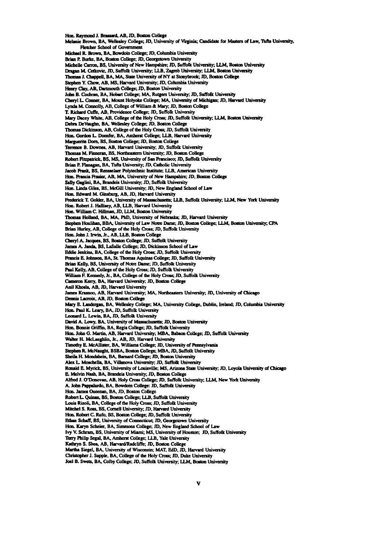Hon. Raymond J. Brassard, AB, JD, Boston College Melaie Brown, BA, **Weilletcy** College; **ID,** University of **Vrginia Candidalt** for Marians **of** Law, Tuft University, Fletcher School of Government Michael R. Brown, BA, Bowdoin College; JD, Columbia University Brian P. Burke, BA. Boston College; JD, Georgetown University **Michelle Caron, BS,** University of New Hampshire; **JD.** Suffolk University. LLM, Boston University Dragan M. Cetkovic, JD, Suffolk University; LLB, Zagreb University; LLM, Boston University Thomas J. Chappell, BA, MA, State University of NY at Stonybrook; JD, Boston College **Stephen** Y. Chow, **AB, MS.** Harvard University; **JD,** Columbia University Henry Clay, AB, Dartmouth College; JD, Boston University John **B.** Cocran. **BA.** Hobt College; MA, Rutgers University: **3D. Suffolk** University **Cheryl** L Com **.** BA, **Mount** Holyoke **College;** MA, University **of** Michigan; **JD.** Harvard University Lynda M. Connolly, AB, College of William & Mary; JD, Boston College **T.** Richard **Coffe.** AB. Providence College; **JD.** Suffolk University Mary **Decey** White, **AB.** College of the Holy **Cross; JD,** Suffolk University: **LL.** Boston Untversrty Debra DeVaughn, BA, Wellesley College; **JD,** Boston College Thomas Dickinson, **AB.** College of the Holy **Croes;** *JD,* Suffolk University Hon. Gordon L. Doenfer, BA, Amherst College; LLB, Harvard University Marguerite Doen **BS,** Boston College; **JD, Boston** College Terrence B. Downes, AB, Harvard University; JD, Suffolk University Thomas **M.** Finesran, **BS.** Northeatern University; **JD** Boston College Robert Fitzpatrick. **BS. MS.** University of San **Fraccrisc.** *JD.* Suffolk University **Brian** P. Flanagan BA, Tufts University; **JD,** Catholic University Jacob Frank, BS, Rensselaer Polytechnic Institute; LLB. American University Hon. frsock Pettir, **AB. MA.** University of New Hampshire; **JD,** Boston **College Sally** Gaglini, BA, Brandeis University; **JD,** Suffolk University Hon. Linda Giles, BS, McGill University; JD, New England School of Law Hon. Edward **M.** Ginsburg. **AB, JD,** Harvard University Fred'ck **T. Golder.** *BA,* University of Massachusetts; **LLB,** Suffolk University, **LLM.** New York **Umiversity Hon.** Robert **J.** HaIlisy, **AB, LIJ.** Harvard University Han. William **C.** Hillonm **JD, LLM. Boson** University Thomas Holland, **BA, MA, PhD.** University of **Nebrska; 3D.** Harvard University Stephen Honihan, BBA. University of Law Notre Dame; **JD.** Boston **College; LLM.** Boston Unrversrty; **CPA** Brian Hurley, **Al,** College of dre Holy **Cross;** *JD,* Suffolk University **Hon. Joh J.** Irwin, Jr., **AB,** LLB, Boston **Collcge** Cheryl **A.** Jacques **BS.** Boston College; **JD.** Suffolk University James **A. Janda,** BS, LaSalle College; *JD,* Dickinson School of Law Eddie Jenkins. **BA.** College of **the** Holy Cros; **JD.** Suffolk University **Francis .** Johnson. BA. **St** Thomas **Aquinas College; JD,** Suffolk University Brian **Kelly, BS,** University of Notre **Dame; D,** Suffolk University **Paul Kelly, AB.** College of the Holy **Cross;** *JD,* Suffolk University William F. **Kennedy.** Jr., BA, College of **the** Holy **Cross;** *JD,* Suffolk University Comeron **Kety.** BA, Harvard University; **3D.** Boston **College** Anil Khosla, AB, JD, Harvard University James Kraanoo, **AB,** Harvard University; MA, Northeastern University; **JD,** University of Chicago Demis Lacroix, **AB, 3D,** Boston **College Mary E.** Landergan, BA, Wellesley College, **MA,** Univemity College, Dublin, Ireland; **JD, Coumbia** University Hon. **Paul K.** Leary, **BA, JD,** Suffolk Univerity Leonard L. Lewin, BA, JD, Suffolk University David **A.** Lowy. BA, University of Massachusetts; **JD,** Boston **University** Hon. Bonnie Griffin, BA, Regis College; JD, Suffolk University Hon. Jehn **G.** Martin, **AB.** Harvard University; MBA. **Babson** College; **JD.** Suffolk University Walter H. McLaughlin, Jr., AB, JD, Harvard University **Timothy F.** McAllisler, BA, Williams College; **JD,** University of Pensylvania Stephen **R.** McNaught. BSBA, Boston College; MBA, **JD,** Suffolk University Sheila H. Mondshein, BA, Barnard College; JD, Boston University Alex L. Moschella, BA, Villanova University; JD, Suffolk University Ronald **E.** Myrick, **BS,** University of Louisville; **MS,** Arizona Strat University; **JD,** Loyola University of Chicago **F.** Melvin Nash BA, Brandeis University; **JD,** Boston College **Alfred** J. O'Donovan, **AB,** Holy **Cross** College; **JD,** Suffolk University, **LLM.** New York University **A.** Jo n Pappalardo. **BA,** Bowdoin College: **JD,** Suffolk University Hon. James Oueenan, BA, JD, Boston College Robert L Quinan. **BS,** Boston **College: LI,** Suffolk University Louis **Rizoll,** BA, College of the Holy Cross; **3D,** Suffolk **University Mitchel S.** Ross, **BS,** Comell University; **JD,** Harvard University Hon. Robert C. Rufo, BS, Boston College; JD, Suffolk University **Edlm Sclff,** *BS,* University **of** Connecticut; **JD,** Georgetown University Hon. Karyn Scheier, BA, Simmons College; JD, New England School of Law Ivy V. **Schmn, BS,** University of Miami; **MS.** University of Houston; **JD,** Suffolk University **Tikry** Philip Segal, **BA, Amherst** College; **LLB. Yale** University Kathryn **S.** Shea. AB, HarvardlRadcliffe; **JD,** Boston College Martha Siegel, BA, University of Wisconsin; MAT, EdD, JD, Harvard University Christopler **J. Supple, BA, College** of the Holy Cross; **JD,** Duke University Joel **B.** Swct, BA, **Colby** College; **JD,** Suffolk University; **LLM.** Boston University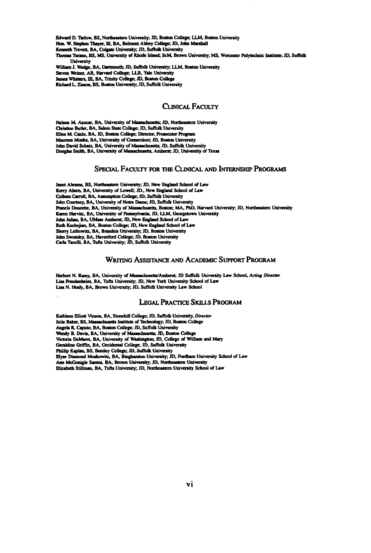Edward D. Tarlow, BS, Northeastern University; JD, Boston College; LLM, Boston University Hon. W. Stephen Thayer, Ill, BA, Belmont Abbey College; JD, John Marshall Kenneth Trevett, BA, Colgate University; JD, Suffolk University Thomas Turano, BS, MS, University of Rhode Island; ScM, Brown University; MS, Worcester Polytechnic Institute; JD, Suffolk University

William J. Wedge, BA, Dartmouth; JD, Suffolk University; LLM, Boston University Steven Weiner, AB, Harvard College; LLB, Yale University James Whitters, III, BA, Trinity College; JD, Boston College Richard L. Zisson, BS, Boston University; JD, Suffolk University

#### **CLINICAL FACULTY**

Nelson M. Azocar, BA, University of Massachusetts; JD, Northeastern University Christine Butler, BA, Salem State College; JD, Suffolk University Ellen M. Caulo, BA, JD, Boston College; Director, Prosecutor Program Maureen Monks, BA, University of Connecticut; JD, Boston University John David Schatz, BA, University of Massachusetts; JD, Suffolk University Douglas Smith, BA, University of Massachusetts, Amherst; JD, University of Texas

#### SPECIAL FACULTY FOR THE CLINICAL AND INTERNSHIP PROGRAMS

Janet Abrams, BS, Northeastern University; JD, New England School of Law Kerry Ahern, BA, University of Lowell; JD., New England School of Law Colleen Carroll, BA, Assumption College; JD, Suffolk University John Courtney, BA, University of Notre Dame; JD, Suffolk University Francis Doucette, BA, University of Massachusetts, Boston; MA, PhD, Harvard University; JD, Northeastern University Karen Hurvitz, BA, University of Pennsylvania; JD, LLM, Georgetown University John Julian, BA, UMass Amherst; JD, New England School of Law Ruth Kechejian, BA, Boston College; JD, New England School of Law<br>Sherry Leibowitz, BA, Brandeis University; JD, Boston University John Swomley, BA, Havenford College; JD, Boston University<br>Carla Tacelli, BA, Tufts University; JD, Suffolk University

#### WRITING ASSISTANCE AND ACADEMIC SUPPORT PROGRAM

Herbert N. Ramy, BA, University of Massachusetts/Amberst; JD Suffolk University Law School, Acting Director Lisa Freudenheim, BA, Tufts University; JD, New York University School of Law Lisa N. Healy, BA, Brown University; JD, Suffolk University Law School

#### **LEGAL PRACTICE SKILLS PROGRAM**

Kathleen Elliott Vinson, BA, Stonehill College; JD, Suffolk University, Director Julie Baker, BS, Massachusetts Institute of Technology; JD, Boston College Angela R. Caputo, BA, Boston College; JD, Suffolk University Wendy B. Davis, BA, University of Massachusetts; JD, Boston College Victoria DeMaret, BA, University of Washington; JD, College of William and Mary Geraldine Griffin, BA, Occidental College; JD, Suffolk University Consumer Chaines B. Bentley College; J.D. Suffolk University<br>
Elijip Kaplan, B.S. Bentley College; J.D. Suffolk University; J.D. Fordham University School of Law<br>
Elyse Diamond Moskowitz, BA, Binghamton University; J.D. Fo Ann McGonigle Santos, BA, Brown University; JD, Northeastern University Elizabeth Stillman, BA, Tufts University; JD, Northeastern University School of Law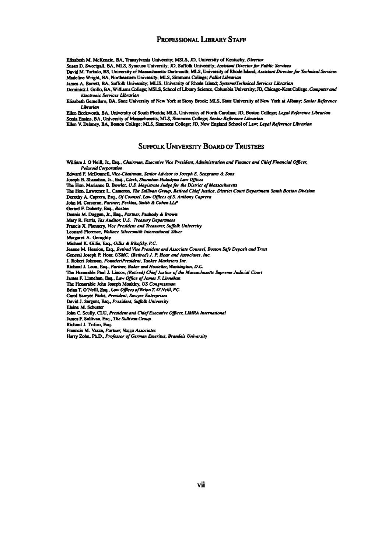#### **PROFESSIONAL LIBRARY STAFF**

Elizabeth M. McKenzie, BA, Thwnylvania University; **MSLS, JD.** University **of** Kentucky, *Director*

Susan **D. Sweegall,** BA. **MLS,** Syracuse University; **JD,** Suffolk University; *Assistant Directorfor Public Services*

David M. Turkalo, BS, University of Massachusetts-Dartmouth; MLS, University of Rhode Island; Assistant Director for Technical Services Madeline **Wright,** BA, Northestern University; **MIS,** Simmons College; *Pallor Librarian*

James **A.** Barrett, BA, Suffolk University;, **MLIS.** University of **Rhode Island;** *SjostemtTechnical Services Librarian*

Dominick **J. Grlo, BA,** Williams College; **MSLS,** School **of Librasy** Science, Columbia University; **JD,** Chicago-Ket **College.** *Compsar and Elecoonc Services Librarian*

Elizabeth **Gemelro,** BA, State University of New York **at** Stony Brook; **MIS,** State University of New York at Albmy; *Senior Reference*

Ellen Beckwoh. BA, University of South Florida; **MIS.** University of North Carolina; **JD,** Boston College; *Legoi Reference Librarian* Sonia Ensins **BA,** University of Massachusetts; **MIS,** Simmons College; *Senior Reference Librarian* **Ellen** V. *Delaney,* **BA,** Boston **College; MIS,** Simnons College; **JD,** New England School of **Law;,** *Legal Reference Librarian*

#### **SUFFOLK UNIVERSITY BOARD OF TRUSTEES**

W'lliam **J.** O'Neill, Jr., *Esq.. Chairman. Executive Wce President, Adinirawtion and Finance and Chief Financial Officer, Polaroid Corporation* Edward P. *McDonnell, Vie-Chairman, Senior Advisor to Joseph E. Seagraras & Sont*

Joseph B. Sltanahan, Jr., Esq., *Clerk, Shanahan Haladyra Law Offices*

*The* Hon. Marianne B. Bowler. *U.S. Magistrate Judge for the District of Maschsset*

*The* Hon. Lawrence L Cameron, *The Suflniva Grosp, Retired Chief Justce, District Courr Department South Boston Division*

Dorothy *A. Cawer Esq., Of Counel, Law Office of S. Anthony Caprera*

John M. *Cecroran. Partner, Perkins, Smith & Cohen U.P*

*Gerard* F. Doherty, **Esq.,** *Boston*

Dennis *M.* Duggan, *Jr. Esq., Partner, Peabody & Brown*

**Mary** R. *Fetris, Tax Auditor, U.S. Treasury Department*

Francis X. Flannery, *Vice President and Treauer, Suffolk University*

Leonard Floreac, *Wallace SIversrmth Internatiornl Silver*

**Margaret A.** Geraghty

**Michael** *K.* Gilis. **Esq.,** *Gillis & Bikofty, P.C.*

Jeanne *M.* Hersion, **Esq.,** *Retired Vise President and Associate Counsel, Boston Safe Deposit and Trut*

*General* Joseph *. Hoar, USMC, (Reared) J. P. Hoar and Associates, Inc.*

*J.* Robert Johnson, *FouwdeviPwident. Yankee Marketers Inc.*

Richard *J. Laon,* **Esq.,** *Partner, Baker and Hosteder Wathington, D.C.*

*The* Honarable Paul *.* Liacos, *(Retired) Chief Justice of the Masachusetts S pnme Judicial Court*

*James* **F.** limihan, **Esq.,** *Law Office of James F. Linnehan*

**The** Honorable John Joseph Moakley *US Congresmsan*

Brian T. **O'Neill,** *Esq., Law Offices of Brian T O'Neill. PC.*

Carol Sawyer *Parka, President Sawyer Enterprises*

David **J.** Sargent, **Esq.,** *President, Suffolk University*

Elaine **M.** Schoster

**John C. Sculy, CLU,** *President and Chief Execurie Offcer LMRA Internaond*

James F. Sullivan, **Esq.,** *The Sullivan Group*

Richard *J.* Triflro. Esq.

Fruasnis **M.** Vka, *Parner, Vazza Assocates*

Harry *Zon. Ph.D., Professor of Gerrman Emeritus. Brandeis University*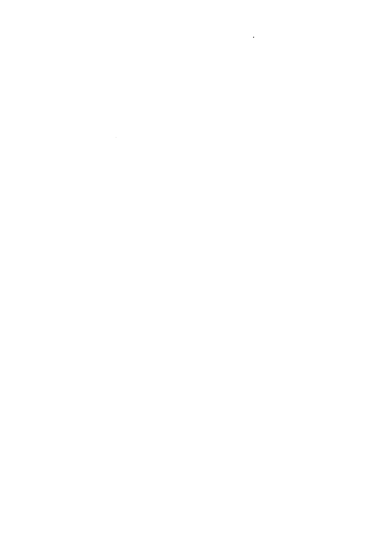$\mathcal{L}^{\text{max}}_{\text{max}}$  .